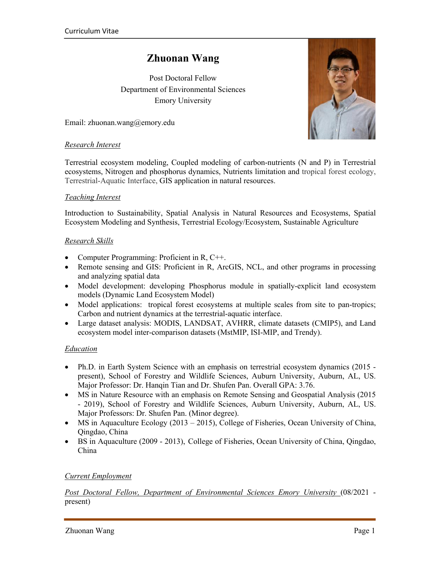# **Zhuonan Wang**

Post Doctoral Fellow Department of Environmental Sciences Emory University

Email: zhuonan.wang@emory.edu

### *Research Interest*

Terrestrial ecosystem modeling, Coupled modeling of carbon-nutrients (N and P) in Terrestrial ecosystems, Nitrogen and phosphorus dynamics, Nutrients limitation and tropical forest ecology, Terrestrial-Aquatic Interface, GIS application in natural resources.

### *Teaching Interest*

Introduction to Sustainability, Spatial Analysis in Natural Resources and Ecosystems, Spatial Ecosystem Modeling and Synthesis, Terrestrial Ecology/Ecosystem, Sustainable Agriculture

### *Research Skills*

- Computer Programming: Proficient in R, C++.
- Remote sensing and GIS: Proficient in R, ArcGIS, NCL, and other programs in processing and analyzing spatial data
- Model development: developing Phosphorus module in spatially-explicit land ecosystem models (Dynamic Land Ecosystem Model)
- Model applications: tropical forest ecosystems at multiple scales from site to pan-tropics; Carbon and nutrient dynamics at the terrestrial-aquatic interface.
- Large dataset analysis: MODIS, LANDSAT, AVHRR, climate datasets (CMIP5), and Land ecosystem model inter-comparison datasets (MstMIP, ISI-MIP, and Trendy).

#### *Education*

- Ph.D. in Earth System Science with an emphasis on terrestrial ecosystem dynamics (2015 present), School of Forestry and Wildlife Sciences, Auburn University, Auburn, AL, US. Major Professor: Dr. Hanqin Tian and Dr. Shufen Pan. Overall GPA: 3.76.
- MS in Nature Resource with an emphasis on Remote Sensing and Geospatial Analysis (2015) - 2019), School of Forestry and Wildlife Sciences, Auburn University, Auburn, AL, US. Major Professors: Dr. Shufen Pan. (Minor degree).
- MS in Aquaculture Ecology (2013 2015), College of Fisheries, Ocean University of China, Qingdao, China
- BS in Aquaculture (2009 2013), College of Fisheries, Ocean University of China, Qingdao, China

### *Current Employment*

*Post Doctoral Fellow, Department of Environmental Sciences Emory University* (08/2021 present)

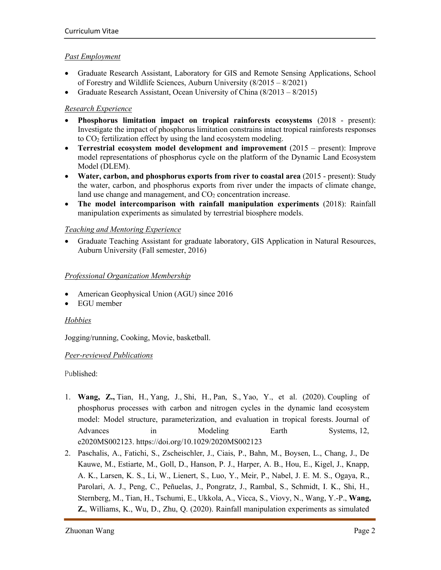# *Past Employment*

- Graduate Research Assistant, Laboratory for GIS and Remote Sensing Applications, School of Forestry and Wildlife Sciences, Auburn University (8/2015 – 8/2021)
- Graduate Research Assistant, Ocean University of China (8/2013 8/2015)

# *Research Experience*

- **Phosphorus limitation impact on tropical rainforests ecosystems** (2018 present): Investigate the impact of phosphorus limitation constrains intact tropical rainforests responses to CO2 fertilization effect by using the land ecosystem modeling.
- **Terrestrial ecosystem model development and improvement** (2015 present): Improve model representations of phosphorus cycle on the platform of the Dynamic Land Ecosystem Model (DLEM).
- **Water, carbon, and phosphorus exports from river to coastal area** (2015 present): Study the water, carbon, and phosphorus exports from river under the impacts of climate change, land use change and management, and  $CO<sub>2</sub>$  concentration increase.
- **The model intercomparison with rainfall manipulation experiments** (2018): Rainfall manipulation experiments as simulated by terrestrial biosphere models.

# *Teaching and Mentoring Experience*

• Graduate Teaching Assistant for graduate laboratory, GIS Application in Natural Resources, Auburn University (Fall semester, 2016)

# *Professional Organization Membership*

- American Geophysical Union (AGU) since 2016
- EGU member

# *Hobbies*

Jogging/running, Cooking, Movie, basketball.

# *Peer-reviewed Publications*

Published:

- 1. **Wang, Z.,** Tian, H., Yang, J., Shi, H., Pan, S., Yao, Y., et al. (2020). Coupling of phosphorus processes with carbon and nitrogen cycles in the dynamic land ecosystem model: Model structure, parameterization, and evaluation in tropical forests. Journal of Advances in Modeling Earth Systems, 12, e2020MS002123. https://doi.org/10.1029/2020MS002123
- 2. Paschalis, A., Fatichi, S., Zscheischler, J., Ciais, P., Bahn, M., Boysen, L., Chang, J., De Kauwe, M., Estiarte, M., Goll, D., Hanson, P. J., Harper, A. B., Hou, E., Kigel, J., Knapp, A. K., Larsen, K. S., Li, W., Lienert, S., Luo, Y., Meir, P., Nabel, J. E. M. S., Ogaya, R., Parolari, A. J., Peng, C., Peñuelas, J., Pongratz, J., Rambal, S., Schmidt, I. K., Shi, H., Sternberg, M., Tian, H., Tschumi, E., Ukkola, A., Vicca, S., Viovy, N., Wang, Y.-P., **Wang, Z.**, Williams, K., Wu, D., Zhu, Q. (2020). Rainfall manipulation experiments as simulated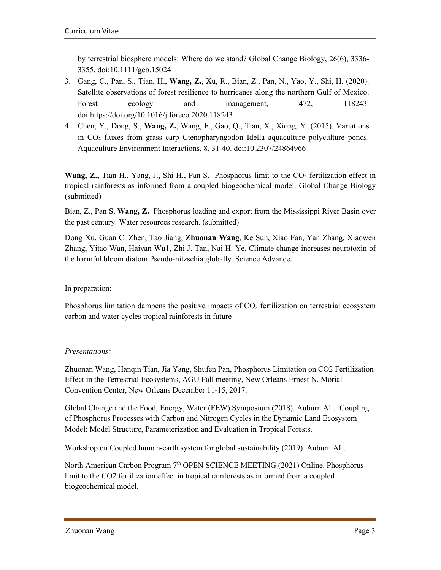by terrestrial biosphere models: Where do we stand? Global Change Biology, 26(6), 3336- 3355. doi:10.1111/gcb.15024

- 3. Gang, C., Pan, S., Tian, H., **Wang, Z.**, Xu, R., Bian, Z., Pan, N., Yao, Y., Shi, H. (2020). Satellite observations of forest resilience to hurricanes along the northern Gulf of Mexico. Forest ecology and management, 472, 118243. doi:https://doi.org/10.1016/j.foreco.2020.118243
- 4. Chen, Y., Dong, S., **Wang, Z.**, Wang, F., Gao, Q., Tian, X., Xiong, Y. (2015). Variations in CO₂ fluxes from grass carp Ctenopharyngodon Idella aquaculture polyculture ponds. Aquaculture Environment Interactions, 8, 31-40. doi:10.2307/24864966

**Wang, Z.,** Tian H., Yang, J., Shi H., Pan S. Phosphorus limit to the CO<sub>2</sub> fertilization effect in tropical rainforests as informed from a coupled biogeochemical model. Global Change Biology (submitted)

Bian, Z., Pan S, **Wang, Z.** Phosphorus loading and export from the Mississippi River Basin over the past century. Water resources research. (submitted)

Dong Xu, Guan C. Zhen, Tao Jiang, **Zhuonan Wang**, Ke Sun, Xiao Fan, Yan Zhang, Xiaowen Zhang, Yitao Wan, Haiyan Wu1, Zhi J. Tan, Nai H. Ye. Climate change increases neurotoxin of the harmful bloom diatom Pseudo-nitzschia globally. Science Advance.

In preparation:

Phosphorus limitation dampens the positive impacts of  $CO<sub>2</sub>$  fertilization on terrestrial ecosystem carbon and water cycles tropical rainforests in future

# *Presentations:*

Zhuonan Wang, Hanqin Tian, Jia Yang, Shufen Pan, Phosphorus Limitation on CO2 Fertilization Effect in the Terrestrial Ecosystems, AGU Fall meeting, New Orleans Ernest N. Morial Convention Center, New Orleans December 11-15, 2017.

Global Change and the Food, Energy, Water (FEW) Symposium (2018). Auburn AL. Coupling of Phosphorus Processes with Carbon and Nitrogen Cycles in the Dynamic Land Ecosystem Model: Model Structure, Parameterization and Evaluation in Tropical Forests.

Workshop on Coupled human-earth system for global sustainability (2019). Auburn AL.

North American Carbon Program 7<sup>th</sup> OPEN SCIENCE MEETING (2021) Online. Phosphorus limit to the CO2 fertilization effect in tropical rainforests as informed from a coupled biogeochemical model.